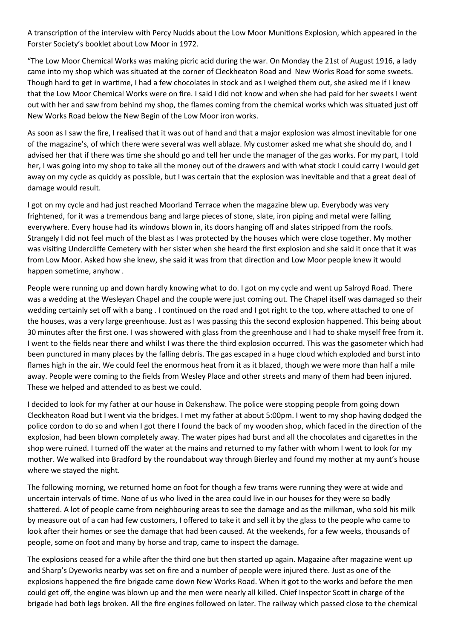A transcription of the interview with Percy Nudds about the Low Moor Munitions Explosion, which appeared in the Forster Society's booklet about Low Moor in 1972.

"The Low Moor Chemical Works was making picric acid during the war. On Monday the 21st of August 1916, a lady came into my shop which was situated at the corner of Cleckheaton Road and New Works Road for some sweets. Though hard to get in wartime. I had a few chocolates in stock and as I weighed them out, she asked me if I knew that the Low Moor Chemical Works were on fire. I said I did not know and when she had paid for her sweets I went out with her and saw from behind my shop, the flames coming from the chemical works which was situated just off New Works Road below the New Begin of the Low Moor iron works.

As soon as I saw the fire, I realised that it was out of hand and that a major explosion was almost inevitable for one of the magazine's, of which there were several was well ablaze. My customer asked me what she should do, and I advised her that if there was time she should go and tell her uncle the manager of the gas works. For my part, I told her, I was going into my shop to take all the money out of the drawers and with what stock I could carry I would get away on my cycle as quickly as possible, but I was certain that the explosion was inevitable and that a great deal of damage would result.

I got on my cycle and had just reached Moorland Terrace when the magazine blew up. Everybody was very frightened, for it was a tremendous bang and large pieces of stone, slate, iron piping and metal were falling everywhere. Every house had its windows blown in, its doors hanging off and slates stripped from the roofs. Strangely I did not feel much of the blast as I was protected by the houses which were close together. My mother was visiting Undercliffe Cemetery with her sister when she heard the first explosion and she said it once that it was from Low Moor. Asked how she knew, she said it was from that direction and Low Moor people knew it would happen sometime, anyhow.

People were running up and down hardly knowing what to do. I got on my cycle and went up Salroyd Road. There was a wedding at the Wesleyan Chapel and the couple were just coming out. The Chapel itself was damaged so their wedding certainly set off with a bang . I continued on the road and I got right to the top, where attached to one of the houses, was a very large greenhouse. Just as I was passing this the second explosion happened. This being about 30 minutes after the first one. I was showered with glass from the greenhouse and I had to shake myself free from it. I went to the fields near there and whilst I was there the third explosion occurred. This was the gasometer which had been punctured in many places by the falling debris. The gas escaped in a huge cloud which exploded and burst into flames high in the air. We could feel the enormous heat from it as it blazed, though we were more than half a mile away. People were coming to the fields from Wesley Place and other streets and many of them had been injured. These we helped and attended to as best we could.

I decided to look for my father at our house in Oakenshaw. The police were stopping people from going down Cleckheaton Road but I went via the bridges. I met my father at about 5:00pm. I went to my shop having dodged the police cordon to do so and when I got there I found the back of my wooden shop, which faced in the direction of the explosion, had been blown completely away. The water pipes had burst and all the chocolates and cigarettes in the shop were ruined. I turned off the water at the mains and returned to my father with whom I went to look for my mother. We walked into Bradford by the roundabout way through Bierley and found my mother at my aunt's house where we stayed the night.

The following morning, we returned home on foot for though a few trams were running they were at wide and uncertain intervals of time. None of us who lived in the area could live in our houses for they were so badly shattered. A lot of people came from neighbouring areas to see the damage and as the milkman, who sold his milk by measure out of a can had few customers, I offered to take it and sell it by the glass to the people who came to look after their homes or see the damage that had been caused. At the weekends, for a few weeks, thousands of people, some on foot and many by horse and trap, came to inspect the damage.

The explosions ceased for a while after the third one but then started up again. Magazine after magazine went up and Sharp's Dyeworks nearby was set on fire and a number of people were injured there. Just as one of the explosions happened the fire brigade came down New Works Road. When it got to the works and before the men could get off, the engine was blown up and the men were nearly all killed. Chief Inspector Scott in charge of the brigade had both legs broken. All the fire engines followed on later. The railway which passed close to the chemical